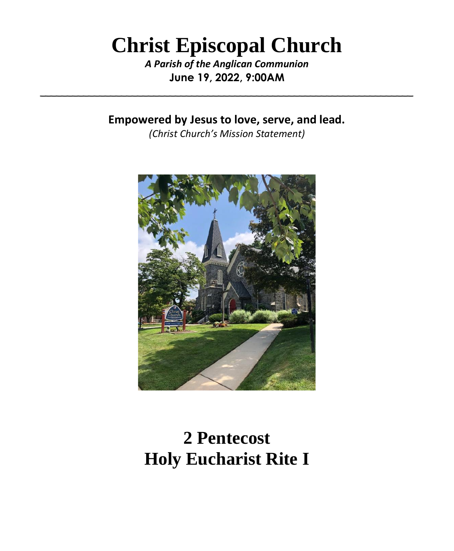# **Christ Episcopal Church**

*A Parish of the Anglican Communion* **June 19, 2022, 9:00AM**

\_\_\_\_\_\_\_\_\_\_\_\_\_\_\_\_\_\_\_\_\_\_\_\_\_\_\_\_\_\_\_\_\_\_\_\_\_\_\_\_\_\_\_\_\_\_\_\_\_\_\_\_\_\_\_\_\_\_\_\_\_\_\_\_\_\_\_\_\_

**Empowered by Jesus to love, serve, and lead.**

*(Christ Church's Mission Statement)*



## **2 Pentecost Holy Eucharist Rite I**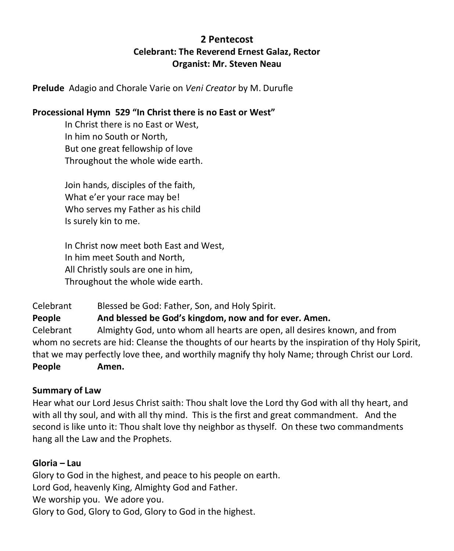## **2 Pentecost Celebrant: The Reverend Ernest Galaz, Rector Organist: Mr. Steven Neau**

**Prelude** Adagio and Chorale Varie on *Veni Creator* by M. Durufle

#### **Processional Hymn 529 "In Christ there is no East or West"**

In Christ there is no East or West, In him no South or North, But one great fellowship of love Throughout the whole wide earth.

Join hands, disciples of the faith, What e'er your race may be! Who serves my Father as his child Is surely kin to me.

In Christ now meet both East and West, In him meet South and North, All Christly souls are one in him, Throughout the whole wide earth.

Celebrant Blessed be God: Father, Son, and Holy Spirit.

**People And blessed be God's kingdom, now and for ever. Amen.**

Celebrant Almighty God, unto whom all hearts are open, all desires known, and from whom no secrets are hid: Cleanse the thoughts of our hearts by the inspiration of thy Holy Spirit, that we may perfectly love thee, and worthily magnify thy holy Name; through Christ our Lord. **People Amen.**

#### **Summary of Law**

Hear what our Lord Jesus Christ saith: Thou shalt love the Lord thy God with all thy heart, and with all thy soul, and with all thy mind. This is the first and great commandment. And the second is like unto it: Thou shalt love thy neighbor as thyself. On these two commandments hang all the Law and the Prophets.

#### **Gloria – Lau**

Glory to God in the highest, and peace to his people on earth. Lord God, heavenly King, Almighty God and Father. We worship you. We adore you. Glory to God, Glory to God, Glory to God in the highest.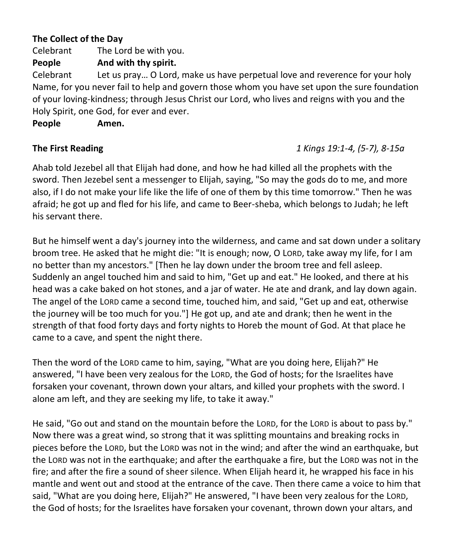## **The Collect of the Day**

Celebrant The Lord be with you.

**People And with thy spirit.**

Celebrant Let us pray… O Lord, make us have perpetual love and reverence for your holy Name, for you never fail to help and govern those whom you have set upon the sure foundation of your loving-kindness; through Jesus Christ our Lord, who lives and reigns with you and the Holy Spirit, one God, for ever and ever.

**People Amen.**

**The First Reading** *1 Kings 19:1-4, (5-7), 8-15a*

Ahab told Jezebel all that Elijah had done, and how he had killed all the prophets with the sword. Then Jezebel sent a messenger to Elijah, saying, "So may the gods do to me, and more also, if I do not make your life like the life of one of them by this time tomorrow." Then he was afraid; he got up and fled for his life, and came to Beer-sheba, which belongs to Judah; he left his servant there.

But he himself went a day's journey into the wilderness, and came and sat down under a solitary broom tree. He asked that he might die: "It is enough; now, O LORD, take away my life, for I am no better than my ancestors." [Then he lay down under the broom tree and fell asleep. Suddenly an angel touched him and said to him, "Get up and eat." He looked, and there at his head was a cake baked on hot stones, and a jar of water. He ate and drank, and lay down again. The angel of the LORD came a second time, touched him, and said, "Get up and eat, otherwise the journey will be too much for you."] He got up, and ate and drank; then he went in the strength of that food forty days and forty nights to Horeb the mount of God. At that place he came to a cave, and spent the night there.

Then the word of the LORD came to him, saying, "What are you doing here, Elijah?" He answered, "I have been very zealous for the LORD, the God of hosts; for the Israelites have forsaken your covenant, thrown down your altars, and killed your prophets with the sword. I alone am left, and they are seeking my life, to take it away."

He said, "Go out and stand on the mountain before the LORD, for the LORD is about to pass by." Now there was a great wind, so strong that it was splitting mountains and breaking rocks in pieces before the LORD, but the LORD was not in the wind; and after the wind an earthquake, but the LORD was not in the earthquake; and after the earthquake a fire, but the LORD was not in the fire; and after the fire a sound of sheer silence. When Elijah heard it, he wrapped his face in his mantle and went out and stood at the entrance of the cave. Then there came a voice to him that said, "What are you doing here, Elijah?" He answered, "I have been very zealous for the LORD, the God of hosts; for the Israelites have forsaken your covenant, thrown down your altars, and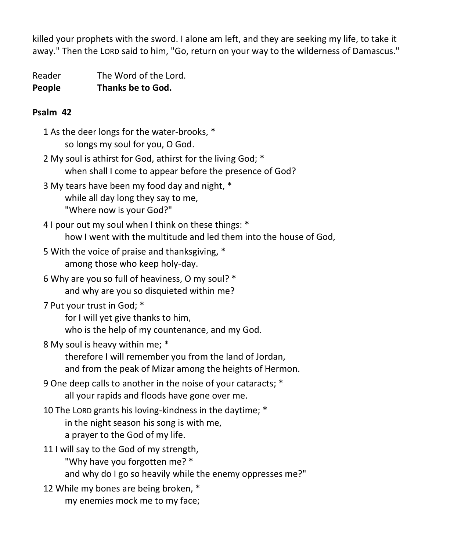killed your prophets with the sword. I alone am left, and they are seeking my life, to take it away." Then the LORD said to him, "Go, return on your way to the wilderness of Damascus."

Reader The Word of the Lord. **People Thanks be to God.**

#### **Psalm 42**

1 As the deer longs for the water-brooks, \* so longs my soul for you, O God.

2 My soul is athirst for God, athirst for the living God; \* when shall I come to appear before the presence of God?

3 My tears have been my food day and night, \* while all day long they say to me, "Where now is your God?"

4 I pour out my soul when I think on these things: \* how I went with the multitude and led them into the house of God,

- 5 With the voice of praise and thanksgiving, \* among those who keep holy-day.
- 6 Why are you so full of heaviness, O my soul? \* and why are you so disquieted within me?
- 7 Put your trust in God; \*

for I will yet give thanks to him, who is the help of my countenance, and my God.

8 My soul is heavy within me; \*

therefore I will remember you from the land of Jordan, and from the peak of Mizar among the heights of Hermon.

9 One deep calls to another in the noise of your cataracts; \* all your rapids and floods have gone over me.

10 The LORD grants his loving-kindness in the daytime; \* in the night season his song is with me, a prayer to the God of my life.

11 I will say to the God of my strength,

"Why have you forgotten me? \*

and why do I go so heavily while the enemy oppresses me?"

12 While my bones are being broken, \* my enemies mock me to my face;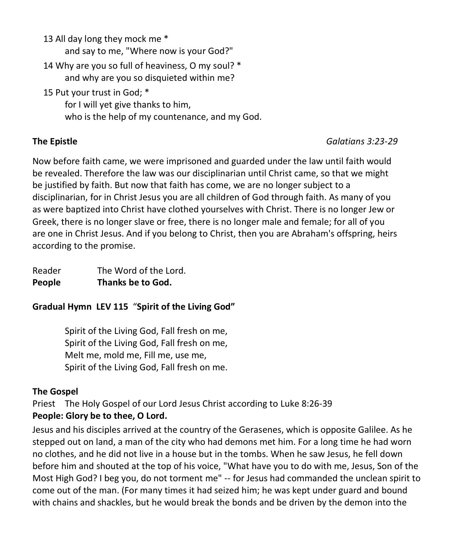13 All day long they mock me \* and say to me, "Where now is your God?"

14 Why are you so full of heaviness, O my soul? \* and why are you so disquieted within me?

15 Put your trust in God; \* for I will yet give thanks to him, who is the help of my countenance, and my God.

## **The Epistle** *Galatians 3:23-29*

Now before faith came, we were imprisoned and guarded under the law until faith would be revealed. Therefore the law was our disciplinarian until Christ came, so that we might be justified by faith. But now that faith has come, we are no longer subject to a disciplinarian, for in Christ Jesus you are all children of God through faith. As many of you as were baptized into Christ have clothed yourselves with Christ. There is no longer Jew or Greek, there is no longer slave or free, there is no longer male and female; for all of you are one in Christ Jesus. And if you belong to Christ, then you are Abraham's offspring, heirs according to the promise.

Reader The Word of the Lord. **People Thanks be to God.** 

**Gradual Hymn LEV 115** "**Spirit of the Living God"**

Spirit of the Living God, Fall fresh on me, Spirit of the Living God, Fall fresh on me, Melt me, mold me, Fill me, use me, Spirit of the Living God, Fall fresh on me.

## **The Gospel**

Priest The Holy Gospel of our Lord Jesus Christ according to Luke 8:26-39 **People: Glory be to thee, O Lord.**

Jesus and his disciples arrived at the country of the Gerasenes, which is opposite Galilee. As he stepped out on land, a man of the city who had demons met him. For a long time he had worn no clothes, and he did not live in a house but in the tombs. When he saw Jesus, he fell down before him and shouted at the top of his voice, "What have you to do with me, Jesus, Son of the Most High God? I beg you, do not torment me" -- for Jesus had commanded the unclean spirit to come out of the man. (For many times it had seized him; he was kept under guard and bound with chains and shackles, but he would break the bonds and be driven by the demon into the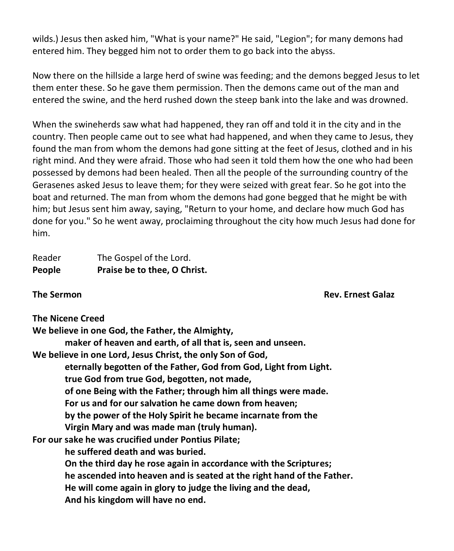wilds.) Jesus then asked him, "What is your name?" He said, "Legion"; for many demons had entered him. They begged him not to order them to go back into the abyss.

Now there on the hillside a large herd of swine was feeding; and the demons begged Jesus to let them enter these. So he gave them permission. Then the demons came out of the man and entered the swine, and the herd rushed down the steep bank into the lake and was drowned.

When the swineherds saw what had happened, they ran off and told it in the city and in the country. Then people came out to see what had happened, and when they came to Jesus, they found the man from whom the demons had gone sitting at the feet of Jesus, clothed and in his right mind. And they were afraid. Those who had seen it told them how the one who had been possessed by demons had been healed. Then all the people of the surrounding country of the Gerasenes asked Jesus to leave them; for they were seized with great fear. So he got into the boat and returned. The man from whom the demons had gone begged that he might be with him; but Jesus sent him away, saying, "Return to your home, and declare how much God has done for you." So he went away, proclaiming throughout the city how much Jesus had done for him.

| Reader | The Gospel of the Lord.      |
|--------|------------------------------|
| People | Praise be to thee, O Christ. |

**The Sermon Rev. Ernest Galaz** 

## **The Nicene Creed**

**We believe in one God, the Father, the Almighty, maker of heaven and earth, of all that is, seen and unseen. We believe in one Lord, Jesus Christ, the only Son of God, eternally begotten of the Father, God from God, Light from Light. true God from true God, begotten, not made, of one Being with the Father; through him all things were made. For us and for our salvation he came down from heaven; by the power of the Holy Spirit he became incarnate from the Virgin Mary and was made man (truly human). For our sake he was crucified under Pontius Pilate; he suffered death and was buried. On the third day he rose again in accordance with the Scriptures; he ascended into heaven and is seated at the right hand of the Father. He will come again in glory to judge the living and the dead, And his kingdom will have no end.**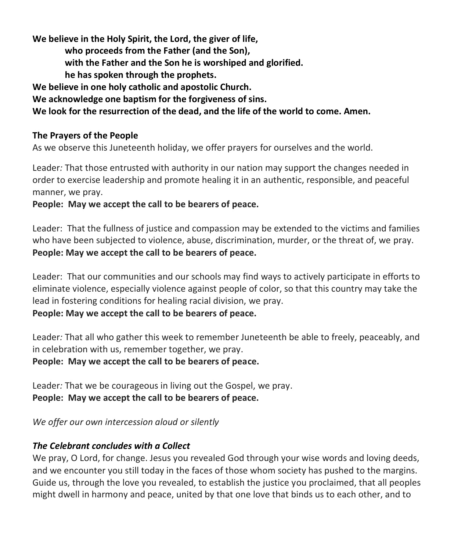**We believe in the Holy Spirit, the Lord, the giver of life,**

- **who proceeds from the Father (and the Son),**
- **with the Father and the Son he is worshiped and glorified.**
- **he has spoken through the prophets.**

**We believe in one holy catholic and apostolic Church.**

**We acknowledge one baptism for the forgiveness of sins.**

**We look for the resurrection of the dead, and the life of the world to come. Amen.**

#### **The Prayers of the People**

As we observe this Juneteenth holiday, we offer prayers for ourselves and the world.

Leader*:* That those entrusted with authority in our nation may support the changes needed in order to exercise leadership and promote healing it in an authentic, responsible, and peaceful manner, we pray.

## **People: May we accept the call to be bearers of peace.**

Leader: That the fullness of justice and compassion may be extended to the victims and families who have been subjected to violence, abuse, discrimination, murder, or the threat of, we pray. **People: May we accept the call to be bearers of peace.**

Leader: That our communities and our schools may find ways to actively participate in efforts to eliminate violence, especially violence against people of color, so that this country may take the lead in fostering conditions for healing racial division, we pray.

**People: May we accept the call to be bearers of peace.**

Leader*:* That all who gather this week to remember Juneteenth be able to freely, peaceably, and in celebration with us, remember together, we pray.

**People: May we accept the call to be bearers of peace.**

Leader*:* That we be courageous in living out the Gospel, we pray. **People: May we accept the call to be bearers of peace.**

*We offer our own intercession aloud or silently*

## *The Celebrant concludes with a Collect*

We pray, O Lord, for change. Jesus you revealed God through your wise words and loving deeds, and we encounter you still today in the faces of those whom society has pushed to the margins. Guide us, through the love you revealed, to establish the justice you proclaimed, that all peoples might dwell in harmony and peace, united by that one love that binds us to each other, and to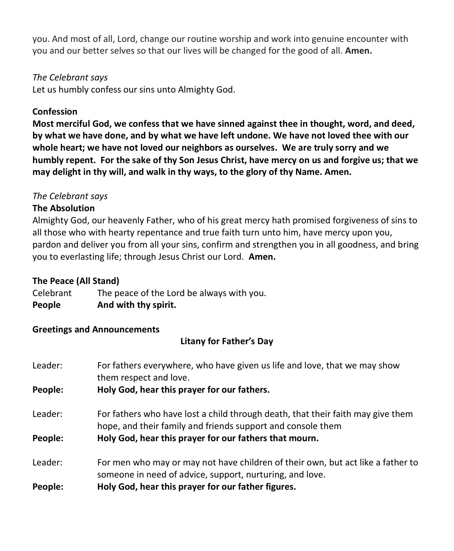you. And most of all, Lord, change our routine worship and work into genuine encounter with you and our better selves so that our lives will be changed for the good of all. **Amen.**

#### *The Celebrant says*

Let us humbly confess our sins unto Almighty God.

#### **Confession**

**Most merciful God, we confess that we have sinned against thee in thought, word, and deed, by what we have done, and by what we have left undone. We have not loved thee with our whole heart; we have not loved our neighbors as ourselves. We are truly sorry and we humbly repent. For the sake of thy Son Jesus Christ, have mercy on us and forgive us; that we may delight in thy will, and walk in thy ways, to the glory of thy Name. Amen.**

#### *The Celebrant says*

#### **The Absolution**

Almighty God, our heavenly Father, who of his great mercy hath promised forgiveness of sins to all those who with hearty repentance and true faith turn unto him, have mercy upon you, pardon and deliver you from all your sins, confirm and strengthen you in all goodness, and bring you to everlasting life; through Jesus Christ our Lord. **Amen.**

#### **The Peace (All Stand)**

| Celebrant | The peace of the Lord be always with you. |
|-----------|-------------------------------------------|
| People    | And with thy spirit.                      |

#### **Greetings and Announcements**

#### **Litany for Father's Day**

| Leader: | For fathers everywhere, who have given us life and love, that we may show<br>them respect and love.                                            |
|---------|------------------------------------------------------------------------------------------------------------------------------------------------|
| People: | Holy God, hear this prayer for our fathers.                                                                                                    |
| Leader: | For fathers who have lost a child through death, that their faith may give them<br>hope, and their family and friends support and console them |
| People: | Holy God, hear this prayer for our fathers that mourn.                                                                                         |
| Leader: | For men who may or may not have children of their own, but act like a father to<br>someone in need of advice, support, nurturing, and love.    |
| People: | Holy God, hear this prayer for our father figures.                                                                                             |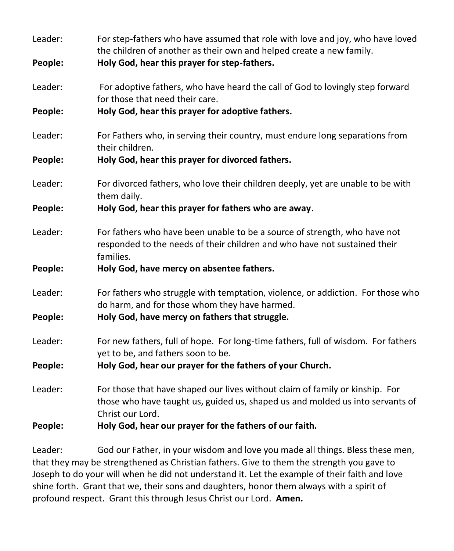| Leader: | For step-fathers who have assumed that role with love and joy, who have loved<br>the children of another as their own and helped create a new family.                             |
|---------|-----------------------------------------------------------------------------------------------------------------------------------------------------------------------------------|
| People: | Holy God, hear this prayer for step-fathers.                                                                                                                                      |
| Leader: | For adoptive fathers, who have heard the call of God to lovingly step forward<br>for those that need their care.                                                                  |
| People: | Holy God, hear this prayer for adoptive fathers.                                                                                                                                  |
| Leader: | For Fathers who, in serving their country, must endure long separations from<br>their children.                                                                                   |
| People: | Holy God, hear this prayer for divorced fathers.                                                                                                                                  |
| Leader: | For divorced fathers, who love their children deeply, yet are unable to be with<br>them daily.                                                                                    |
| People: | Holy God, hear this prayer for fathers who are away.                                                                                                                              |
| Leader: | For fathers who have been unable to be a source of strength, who have not<br>responded to the needs of their children and who have not sustained their<br>families.               |
| People: | Holy God, have mercy on absentee fathers.                                                                                                                                         |
| Leader: | For fathers who struggle with temptation, violence, or addiction. For those who<br>do harm, and for those whom they have harmed.                                                  |
| People: | Holy God, have mercy on fathers that struggle.                                                                                                                                    |
| Leader: | For new fathers, full of hope. For long-time fathers, full of wisdom. For fathers<br>yet to be, and fathers soon to be.                                                           |
| People: | Holy God, hear our prayer for the fathers of your Church.                                                                                                                         |
| Leader: | For those that have shaped our lives without claim of family or kinship. For<br>those who have taught us, guided us, shaped us and molded us into servants of<br>Christ our Lord. |
| People: | Holy God, hear our prayer for the fathers of our faith.                                                                                                                           |

Leader: God our Father, in your wisdom and love you made all things. Bless these men, that they may be strengthened as Christian fathers. Give to them the strength you gave to Joseph to do your will when he did not understand it. Let the example of their faith and love shine forth. Grant that we, their sons and daughters, honor them always with a spirit of profound respect. Grant this through Jesus Christ our Lord. **Amen.**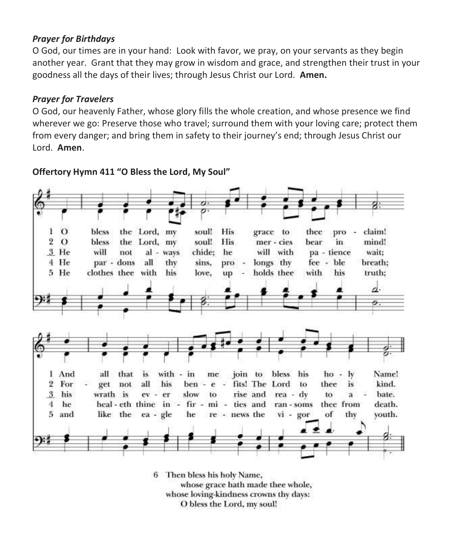#### *Prayer for Birthdays*

O God, our times are in your hand: Look with favor, we pray, on your servants as they begin another year. Grant that they may grow in wisdom and grace, and strengthen their trust in your goodness all the days of their lives; through Jesus Christ our Lord. **Amen.**

## *Prayer for Travelers*

O God, our heavenly Father, whose glory fills the whole creation, and whose presence we find wherever we go: Preserve those who travel; surround them with your loving care; protect them from every danger; and bring them in safety to their journey's end; through Jesus Christ our Lord. **Amen**.

**Offertory Hymn 411 "O Bless the Lord, My Soul"**



whose grace hath made thee whole, whose loving-kindness crowns thy days: O bless the Lord, my soul!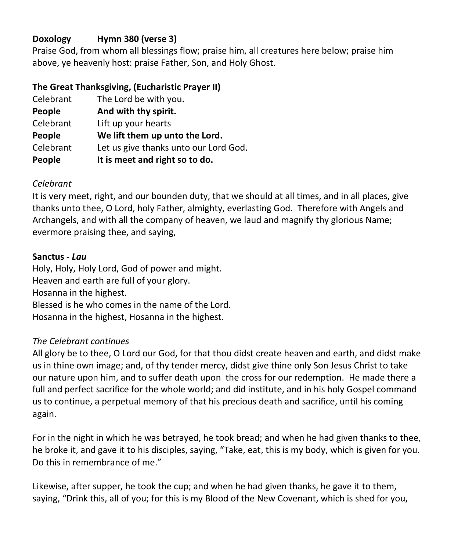## **Doxology Hymn 380 (verse 3)**

Praise God, from whom all blessings flow; praise him, all creatures here below; praise him above, ye heavenly host: praise Father, Son, and Holy Ghost.

#### **The Great Thanksgiving, (Eucharistic Prayer II)**

| Celebrant | The Lord be with you.                 |
|-----------|---------------------------------------|
| People    | And with thy spirit.                  |
| Celebrant | Lift up your hearts                   |
| People    | We lift them up unto the Lord.        |
| Celebrant | Let us give thanks unto our Lord God. |
| People    | It is meet and right so to do.        |

#### *Celebrant*

It is very meet, right, and our bounden duty, that we should at all times, and in all places, give thanks unto thee, O Lord, holy Father, almighty, everlasting God. Therefore with Angels and Archangels, and with all the company of heaven, we laud and magnify thy glorious Name; evermore praising thee, and saying,

#### **Sanctus -** *Lau*

Holy, Holy, Holy Lord, God of power and might. Heaven and earth are full of your glory. Hosanna in the highest. Blessed is he who comes in the name of the Lord. Hosanna in the highest, Hosanna in the highest.

#### *The Celebrant continues*

All glory be to thee, O Lord our God, for that thou didst create heaven and earth, and didst make us in thine own image; and, of thy tender mercy, didst give thine only Son Jesus Christ to take our nature upon him, and to suffer death upon the cross for our redemption. He made there a full and perfect sacrifice for the whole world; and did institute, and in his holy Gospel command us to continue, a perpetual memory of that his precious death and sacrifice, until his coming again.

For in the night in which he was betrayed, he took bread; and when he had given thanks to thee, he broke it, and gave it to his disciples, saying, "Take, eat, this is my body, which is given for you. Do this in remembrance of me."

Likewise, after supper, he took the cup; and when he had given thanks, he gave it to them, saying, "Drink this, all of you; for this is my Blood of the New Covenant, which is shed for you,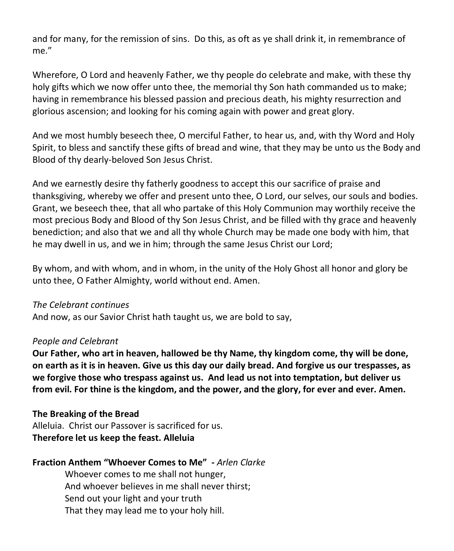and for many, for the remission of sins. Do this, as oft as ye shall drink it, in remembrance of me."

Wherefore, O Lord and heavenly Father, we thy people do celebrate and make, with these thy holy gifts which we now offer unto thee, the memorial thy Son hath commanded us to make; having in remembrance his blessed passion and precious death, his mighty resurrection and glorious ascension; and looking for his coming again with power and great glory.

And we most humbly beseech thee, O merciful Father, to hear us, and, with thy Word and Holy Spirit, to bless and sanctify these gifts of bread and wine, that they may be unto us the Body and Blood of thy dearly-beloved Son Jesus Christ.

And we earnestly desire thy fatherly goodness to accept this our sacrifice of praise and thanksgiving, whereby we offer and present unto thee, O Lord, our selves, our souls and bodies. Grant, we beseech thee, that all who partake of this Holy Communion may worthily receive the most precious Body and Blood of thy Son Jesus Christ, and be filled with thy grace and heavenly benediction; and also that we and all thy whole Church may be made one body with him, that he may dwell in us, and we in him; through the same Jesus Christ our Lord;

By whom, and with whom, and in whom, in the unity of the Holy Ghost all honor and glory be unto thee, O Father Almighty, world without end. Amen.

#### *The Celebrant continues*

And now, as our Savior Christ hath taught us, we are bold to say,

#### *People and Celebrant*

**Our Father, who art in heaven, hallowed be thy Name, thy kingdom come, thy will be done, on earth as it is in heaven. Give us this day our daily bread. And forgive us our trespasses, as we forgive those who trespass against us. And lead us not into temptation, but deliver us from evil. For thine is the kingdom, and the power, and the glory, for ever and ever. Amen.**

**The Breaking of the Bread** Alleluia. Christ our Passover is sacrificed for us. **Therefore let us keep the feast. Alleluia**

## **Fraction Anthem "Whoever Comes to Me" -** *Arlen Clarke*

Whoever comes to me shall not hunger, And whoever believes in me shall never thirst; Send out your light and your truth That they may lead me to your holy hill.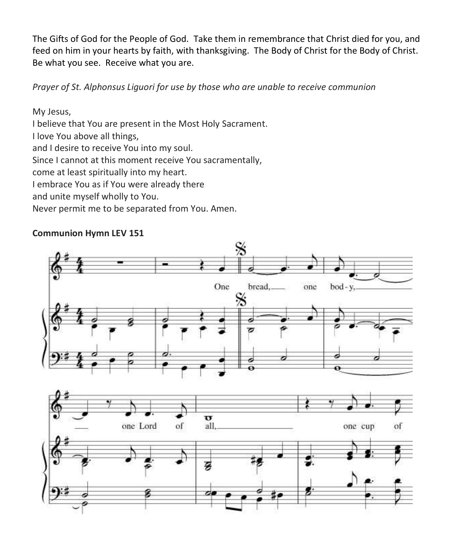The Gifts of God for the People of God. Take them in remembrance that Christ died for you, and feed on him in your hearts by faith, with thanksgiving. The Body of Christ for the Body of Christ. Be what you see. Receive what you are.

*Prayer of St. Alphonsus Liguori for use by those who are unable to receive communion*

My Jesus,

I believe that You are present in the Most Holy Sacrament.

I love You above all things,

and I desire to receive You into my soul.

Since I cannot at this moment receive You sacramentally,

come at least spiritually into my heart.

I embrace You as if You were already there

and unite myself wholly to You.

Never permit me to be separated from You. Amen.

#### **Communion Hymn LEV 151**

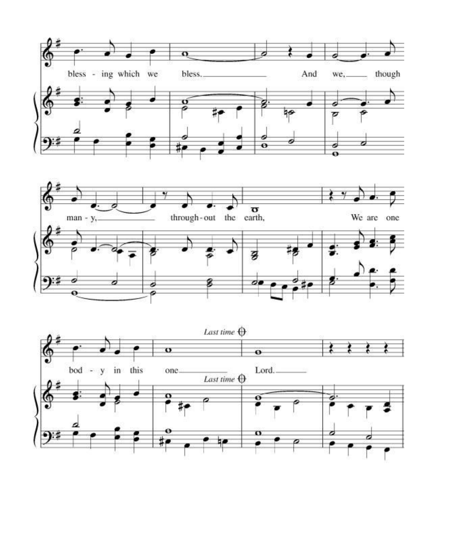



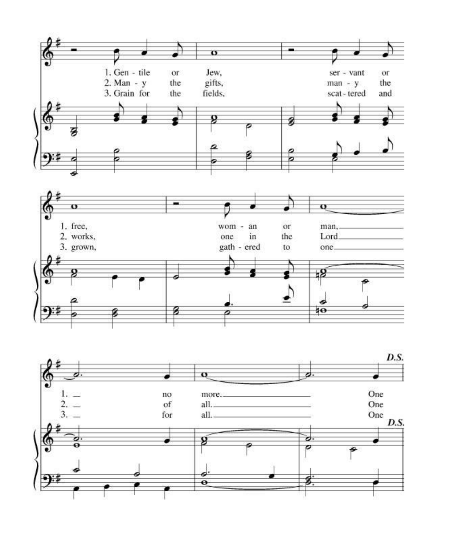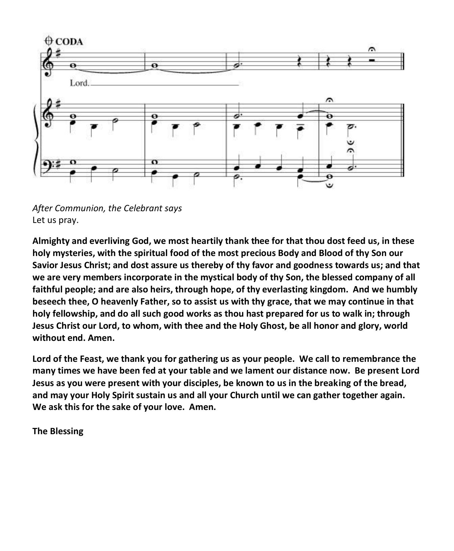

*After Communion, the Celebrant says* Let us pray.

**Almighty and everliving God, we most heartily thank thee for that thou dost feed us, in these holy mysteries, with the spiritual food of the most precious Body and Blood of thy Son our Savior Jesus Christ; and dost assure us thereby of thy favor and goodness towards us; and that we are very members incorporate in the mystical body of thy Son, the blessed company of all faithful people; and are also heirs, through hope, of thy everlasting kingdom. And we humbly beseech thee, O heavenly Father, so to assist us with thy grace, that we may continue in that holy fellowship, and do all such good works as thou hast prepared for us to walk in; through Jesus Christ our Lord, to whom, with thee and the Holy Ghost, be all honor and glory, world without end. Amen.**

**Lord of the Feast, we thank you for gathering us as your people. We call to remembrance the many times we have been fed at your table and we lament our distance now. Be present Lord Jesus as you were present with your disciples, be known to us in the breaking of the bread, and may your Holy Spirit sustain us and all your Church until we can gather together again. We ask this for the sake of your love. Amen.**

**The Blessing**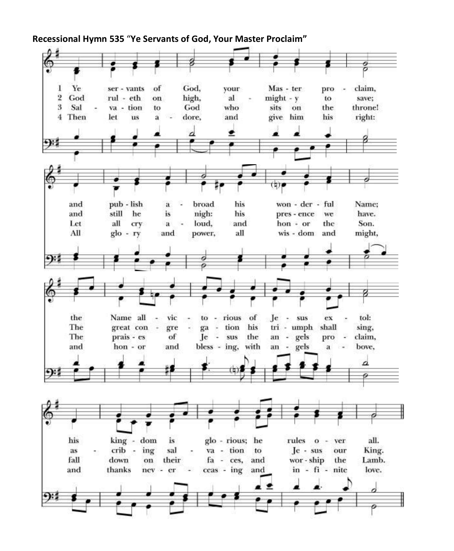**Recessional Hymn 535** "**Ye Servants of God, Your Master Proclaim"**

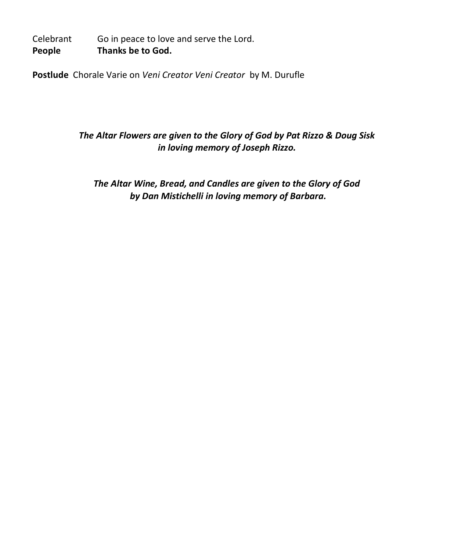Celebrant Go in peace to love and serve the Lord. **People Thanks be to God.** 

**Postlude** Chorale Varie on *Veni Creator Veni Creator* by M. Durufle

#### *The Altar Flowers are given to the Glory of God by Pat Rizzo & Doug Sisk in loving memory of Joseph Rizzo.*

*The Altar Wine, Bread, and Candles are given to the Glory of God by Dan Mistichelli in loving memory of Barbara.*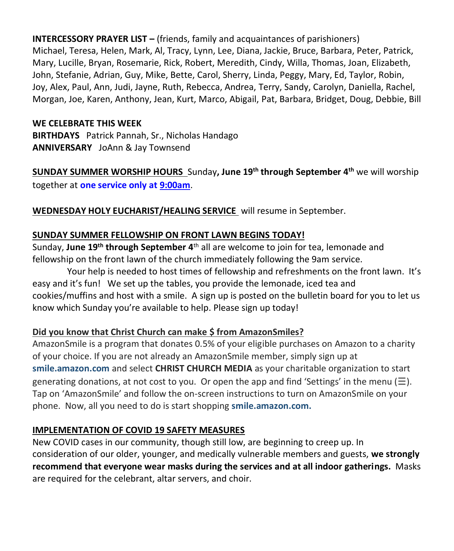**INTERCESSORY PRAYER LIST –** (friends, family and acquaintances of parishioners) Michael, Teresa, Helen, Mark, Al, Tracy, Lynn, Lee, Diana, Jackie, Bruce, Barbara, Peter, Patrick, Mary, Lucille, Bryan, Rosemarie, Rick, Robert, Meredith, Cindy, Willa, Thomas, Joan, Elizabeth, John, Stefanie, Adrian, Guy, Mike, Bette, Carol, Sherry, Linda, Peggy, Mary, Ed, Taylor, Robin, Joy, Alex, Paul, Ann, Judi, Jayne, Ruth, Rebecca, Andrea, Terry, Sandy, Carolyn, Daniella, Rachel, Morgan, Joe, Karen, Anthony, Jean, Kurt, Marco, Abigail, Pat, Barbara, Bridget, Doug, Debbie, Bill

#### **WE CELEBRATE THIS WEEK**

**BIRTHDAYS** Patrick Pannah, Sr., Nicholas Handago **ANNIVERSARY** JoAnn & Jay Townsend

**SUNDAY SUMMER WORSHIP HOURS** Sunday**, June 19th through September 4th** we will worship together at **one service only at 9:00am**.

**WEDNESDAY HOLY EUCHARIST/HEALING SERVICE** will resume in September.

#### **SUNDAY SUMMER FELLOWSHIP ON FRONT LAWN BEGINS TODAY!**

Sunday, **June 19th through September 4**th all are welcome to join for tea, lemonade and fellowship on the front lawn of the church immediately following the 9am service.

Your help is needed to host times of fellowship and refreshments on the front lawn. It's easy and it's fun! We set up the tables, you provide the lemonade, iced tea and cookies/muffins and host with a smile. A sign up is posted on the bulletin board for you to let us know which Sunday you're available to help. Please sign up today!

#### **Did you know that Christ Church can make \$ from AmazonSmiles?**

AmazonSmile is a program that donates 0.5% of your eligible purchases on Amazon to a charity of your choice. If you are not already an AmazonSmile member, simply sign up at **smile.amazon.com** and select **CHRIST CHURCH MEDIA** as your charitable organization to start generating donations, at not cost to you. Or open the app and find 'Settings' in the menu ( $\equiv$ ). Tap on 'AmazonSmile' and follow the on-screen instructions to turn on AmazonSmile on your phone. Now, all you need to do is start shopping **smile.amazon.com.**

#### **IMPLEMENTATION OF COVID 19 SAFETY MEASURES**

New COVID cases in our community, though still low, are beginning to creep up. In consideration of our older, younger, and medically vulnerable members and guests, **we strongly recommend that everyone wear masks during the services and at all indoor gatherings.** Masks are required for the celebrant, altar servers, and choir.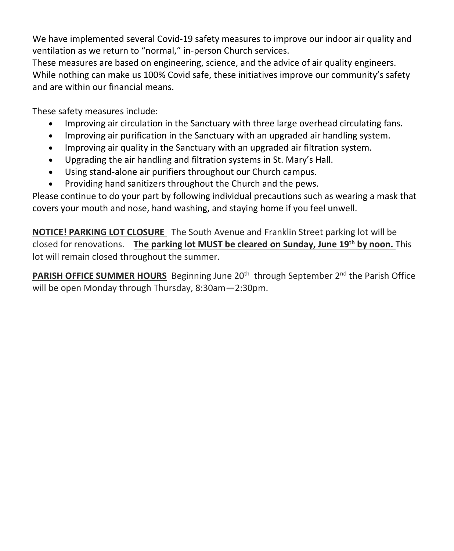We have implemented several Covid-19 safety measures to improve our indoor air quality and ventilation as we return to "normal," in-person Church services.

These measures are based on engineering, science, and the advice of air quality engineers. While nothing can make us 100% Covid safe, these initiatives improve our community's safety and are within our financial means.

These safety measures include:

- Improving air circulation in the Sanctuary with three large overhead circulating fans.
- Improving air purification in the Sanctuary with an upgraded air handling system.
- Improving air quality in the Sanctuary with an upgraded air filtration system.
- Upgrading the air handling and filtration systems in St. Mary's Hall.
- Using stand-alone air purifiers throughout our Church campus.
- Providing hand sanitizers throughout the Church and the pews.

Please continue to do your part by following individual precautions such as wearing a mask that covers your mouth and nose, hand washing, and staying home if you feel unwell.

**NOTICE! PARKING LOT CLOSURE** The South Avenue and Franklin Street parking lot will be closed for renovations. **The parking lot MUST be cleared on Sunday, June 19th by noon.** This lot will remain closed throughout the summer.

PARISH OFFICE SUMMER HOURS Beginning June 20<sup>th</sup> through September 2<sup>nd</sup> the Parish Office will be open Monday through Thursday, 8:30am—2:30pm.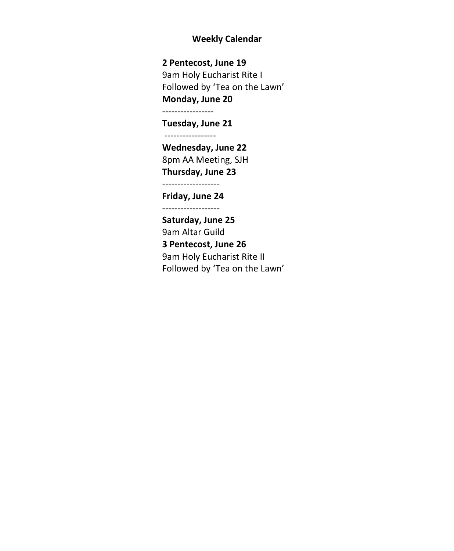#### **Weekly Calendar**

**2 Pentecost, June 19** 9am Holy Eucharist Rite I Followed by 'Tea on the Lawn' **Monday, June 20**

-----------------

**Tuesday, June 21**

-----------------

**Wednesday, June 22** 8pm AA Meeting, SJH **Thursday, June 23**

-------------------

**Friday, June 24**

-------------------

**Saturday, June 25** 9am Altar Guild **3 Pentecost, June 26** 9am Holy Eucharist Rite II Followed by 'Tea on the Lawn'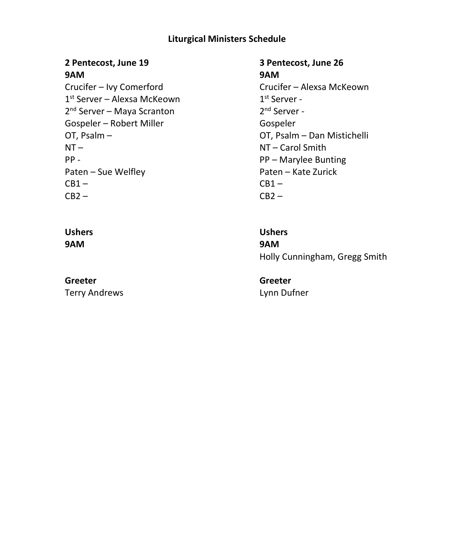#### **Liturgical Ministers Schedule**

#### **2 Pentecost, June 19 3 Pentecost, June 26 9AM 9AM**

1 st Server – Alexsa McKeown 1 2 nd Server – Maya Scranton 2 Gospeler – Robert Miller Gospeler OT, Psalm – OT, Psalm – Dan Mistichelli NT – NT – Carol Smith PP – Marylee Bunting Paten – Sue Welfley **Paten – Kate Zurick** CB1 – CB1 – CB2 – CB2 –

**9AM 9AM**

Terry Andrews **Lynn** Dufner

# Crucifer – Ivy Comerford Crucifer – Alexsa McKeown 1st Server -2<sup>nd</sup> Server -

**Ushers Ushers** Holly Cunningham, Gregg Smith

**Greeter Greeter**